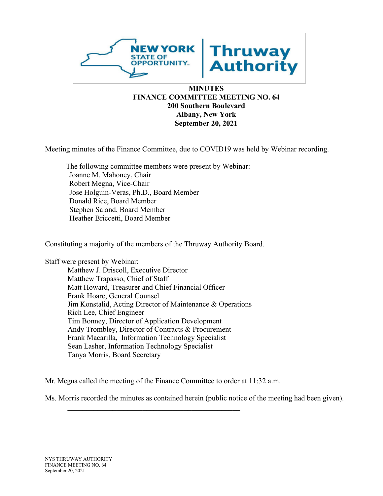

## **MINUTES FINANCE COMMITTEE MEETING NO. 64 200 Southern Boulevard Albany, New York September 20, 2021**

Meeting minutes of the Finance Committee, due to COVID19 was held by Webinar recording.

The following committee members were present by Webinar: Joanne M. Mahoney, Chair Robert Megna, Vice-Chair Jose Holguin-Veras, Ph.D., Board Member Donald Rice, Board Member Stephen Saland, Board Member Heather Briccetti, Board Member

Constituting a majority of the members of the Thruway Authority Board.

Staff were present by Webinar:

Matthew J. Driscoll, Executive Director Matthew Trapasso, Chief of Staff Matt Howard, Treasurer and Chief Financial Officer Frank Hoare, General Counsel Jim Konstalid, Acting Director of Maintenance & Operations Rich Lee, Chief Engineer Tim Bonney, Director of Application Development Andy Trombley, Director of Contracts & Procurement Frank Macarilla, Information Technology Specialist Sean Lasher, Information Technology Specialist Tanya Morris, Board Secretary

Mr. Megna called the meeting of the Finance Committee to order at 11:32 a.m.

\_\_\_\_\_\_\_\_\_\_\_\_\_\_\_\_\_\_\_\_\_\_\_\_\_\_\_\_\_\_\_\_\_\_\_\_\_\_\_\_\_\_\_\_\_\_

Ms. Morris recorded the minutes as contained herein (public notice of the meeting had been given).